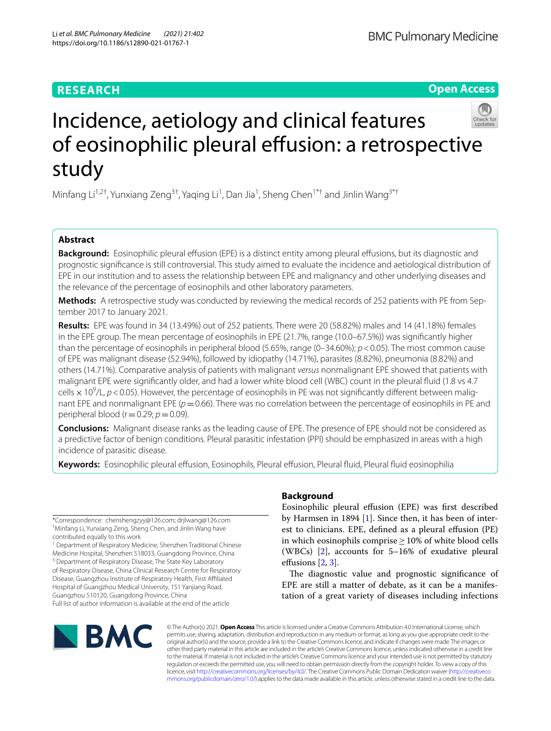# **RESEARCH**

**Open Access**

# Incidence, aetiology and clinical features of eosinophilic pleural effusion: a retrospective study

Minfang Li<sup>1,2†</sup>, Yunxiang Zeng<sup>3†</sup>, Yaqing Li<sup>1</sup>, Dan Jia<sup>1</sup>, Sheng Chen<sup>1\*†</sup> and Jinlin Wang<sup>3\*†</sup>

# **Abstract**

**Background:** Eosinophilic pleural efusion (EPE) is a distinct entity among pleural efusions, but its diagnostic and prognostic signifcance is still controversial. This study aimed to evaluate the incidence and aetiological distribution of EPE in our institution and to assess the relationship between EPE and malignancy and other underlying diseases and the relevance of the percentage of eosinophils and other laboratory parameters.

**Methods:** A retrospective study was conducted by reviewing the medical records of 252 patients with PE from September 2017 to January 2021.

**Results:** EPE was found in 34 (13.49%) out of 252 patients. There were 20 (58.82%) males and 14 (41.18%) females in the EPE group. The mean percentage of eosinophils in EPE (21.7%, range (10.0–67.5%)) was signifcantly higher than the percentage of eosinophils in peripheral blood (5.65%, range (0–34.60%); *p*<0.05). The most common cause of EPE was malignant disease (52.94%), followed by idiopathy (14.71%), parasites (8.82%), pneumonia (8.82%) and others (14.71%). Comparative analysis of patients with malignant *versus* nonmalignant EPE showed that patients with malignant EPE were signifcantly older, and had a lower white blood cell (WBC) count in the pleural fuid (1.8 vs 4.7 cells  $\times$  10<sup>9</sup>/L,  $p$  < 0.05). However, the percentage of eosinophils in PE was not significantly different between malignant EPE and nonmalignant EPE ( $p=0.66$ ). There was no correlation between the percentage of eosinophils in PE and peripheral blood ( $r=0.29$ ;  $p=0.09$ ).

**Conclusions:** Malignant disease ranks as the leading cause of EPE. The presence of EPE should not be considered as a predictive factor of benign conditions. Pleural parasitic infestation (PPI) should be emphasized in areas with a high incidence of parasitic disease.

**Keywords:** Eosinophilic pleural efusion, Eosinophils, Pleural efusion, Pleural fuid, Pleural fuid eosinophilia

\*Correspondence: chenshengzyy@126.com; drjlwang@126.com † Minfang Li, Yunxiang Zeng, Sheng Chen, and Jinlin Wang have contributed equally to this work

<sup>1</sup> Department of Respiratory Medicine, Shenzhen Traditional Chinese Medicine Hospital, Shenzhen 518033, Guangdong Province, China <sup>3</sup> Department of Respiratory Disease, The State Key Laboratory of Respiratory Disease, China Clinical Research Centre for Respiratory Disease, Guangzhou Institute of Respiratory Health, First Afliated Hospital of Guangzhou Medical University, 151 Yanjiang Road, Guangzhou 510120, Guangdong Province, China

Full list of author information is available at the end of the article

# **Background**

Eosinophilic pleural efusion (EPE) was frst described by Harmsen in 1894 [[1\]](#page-7-0). Since then, it has been of interest to clinicians. EPE, defned as a pleural efusion (PE) in which eosinophils comprise≥10% of white blood cells (WBCs) [\[2](#page-7-1)], accounts for 5–16% of exudative pleural effusions [[2,](#page-7-1) [3](#page-7-2)].

The diagnostic value and prognostic significance of EPE are still a matter of debate, as it can be a manifestation of a great variety of diseases including infections



© The Author(s) 2021. **Open Access** This article is licensed under a Creative Commons Attribution 4.0 International License, which permits use, sharing, adaptation, distribution and reproduction in any medium or format, as long as you give appropriate credit to the original author(s) and the source, provide a link to the Creative Commons licence, and indicate if changes were made. The images or other third party material in this article are included in the article's Creative Commons licence, unless indicated otherwise in a credit line to the material. If material is not included in the article's Creative Commons licence and your intended use is not permitted by statutory regulation or exceeds the permitted use, you will need to obtain permission directly from the copyright holder. To view a copy of this licence, visit [http://creativecommons.org/licenses/by/4.0/.](http://creativecommons.org/licenses/by/4.0/) The Creative Commons Public Domain Dedication waiver ([http://creativeco](http://creativecommons.org/publicdomain/zero/1.0/) [mmons.org/publicdomain/zero/1.0/](http://creativecommons.org/publicdomain/zero/1.0/)) applies to the data made available in this article, unless otherwise stated in a credit line to the data.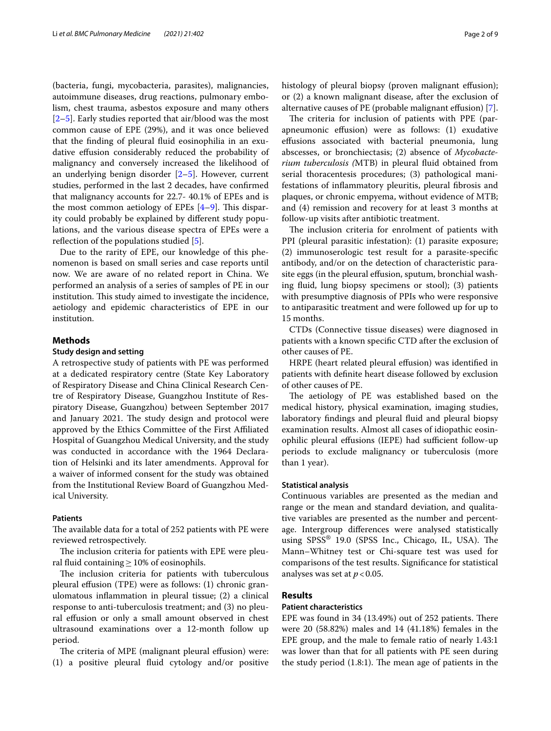(bacteria, fungi, mycobacteria, parasites), malignancies, autoimmune diseases, drug reactions, pulmonary embolism, chest trauma, asbestos exposure and many others [[2–](#page-7-1)[5\]](#page-7-3). Early studies reported that air/blood was the most common cause of EPE (29%), and it was once believed that the fnding of pleural fuid eosinophilia in an exudative efusion considerably reduced the probability of malignancy and conversely increased the likelihood of an underlying benign disorder [\[2](#page-7-1)[–5](#page-7-3)]. However, current studies, performed in the last 2 decades, have confrmed that malignancy accounts for 22.7- 40.1% of EPEs and is the most common aetiology of EPEs  $[4-9]$  $[4-9]$ . This disparity could probably be explained by diferent study populations, and the various disease spectra of EPEs were a reflection of the populations studied [\[5](#page-7-3)].

Due to the rarity of EPE, our knowledge of this phenomenon is based on small series and case reports until now. We are aware of no related report in China. We performed an analysis of a series of samples of PE in our institution. This study aimed to investigate the incidence, aetiology and epidemic characteristics of EPE in our institution.

#### **Methods**

# **Study design and setting**

A retrospective study of patients with PE was performed at a dedicated respiratory centre (State Key Laboratory of Respiratory Disease and China Clinical Research Centre of Respiratory Disease, Guangzhou Institute of Respiratory Disease, Guangzhou) between September 2017 and January 2021. The study design and protocol were approved by the Ethics Committee of the First Afliated Hospital of Guangzhou Medical University, and the study was conducted in accordance with the 1964 Declaration of Helsinki and its later amendments. Approval for a waiver of informed consent for the study was obtained from the Institutional Review Board of Guangzhou Medical University.

## **Patients**

The available data for a total of 252 patients with PE were reviewed retrospectively.

The inclusion criteria for patients with EPE were pleural fluid containing  $\geq$  10% of eosinophils.

The inclusion criteria for patients with tuberculous pleural effusion (TPE) were as follows: (1) chronic granulomatous infammation in pleural tissue; (2) a clinical response to anti-tuberculosis treatment; and (3) no pleural efusion or only a small amount observed in chest ultrasound examinations over a 12-month follow up period.

The criteria of MPE (malignant pleural effusion) were: (1) a positive pleural fuid cytology and/or positive histology of pleural biopsy (proven malignant effusion); or (2) a known malignant disease, after the exclusion of alternative causes of PE (probable malignant effusion) [\[7](#page-7-6)].

The criteria for inclusion of patients with PPE (parapneumonic efusion) were as follows: (1) exudative efusions associated with bacterial pneumonia, lung abscesses, or bronchiectasis; (2) absence of *Mycobacterium tuberculosis (*MTB) in pleural fuid obtained from serial thoracentesis procedures; (3) pathological manifestations of infammatory pleuritis, pleural fbrosis and plaques, or chronic empyema, without evidence of MTB; and (4) remission and recovery for at least 3 months at follow-up visits after antibiotic treatment.

The inclusion criteria for enrolment of patients with PPI (pleural parasitic infestation): (1) parasite exposure; (2) immunoserologic test result for a parasite-specifc antibody, and/or on the detection of characteristic parasite eggs (in the pleural efusion, sputum, bronchial washing fuid, lung biopsy specimens or stool); (3) patients with presumptive diagnosis of PPIs who were responsive to antiparasitic treatment and were followed up for up to 15 months.

CTDs (Connective tissue diseases) were diagnosed in patients with a known specifc CTD after the exclusion of other causes of PE.

HRPE (heart related pleural effusion) was identified in patients with defnite heart disease followed by exclusion of other causes of PE.

The aetiology of PE was established based on the medical history, physical examination, imaging studies, laboratory fndings and pleural fuid and pleural biopsy examination results. Almost all cases of idiopathic eosinophilic pleural effusions (IEPE) had sufficient follow-up periods to exclude malignancy or tuberculosis (more than 1 year).

## **Statistical analysis**

Continuous variables are presented as the median and range or the mean and standard deviation, and qualitative variables are presented as the number and percentage. Intergroup diferences were analysed statistically using  $SPSS^{\circledast}$  19.0 (SPSS Inc., Chicago, IL, USA). The Mann–Whitney test or Chi-square test was used for comparisons of the test results. Signifcance for statistical analyses was set at  $p < 0.05$ .

# **Results**

# **Patient characteristics**

EPE was found in  $34$  (13.49%) out of  $252$  patients. There were 20 (58.82%) males and 14 (41.18%) females in the EPE group, and the male to female ratio of nearly 1.43:1 was lower than that for all patients with PE seen during the study period  $(1.8:1)$ . The mean age of patients in the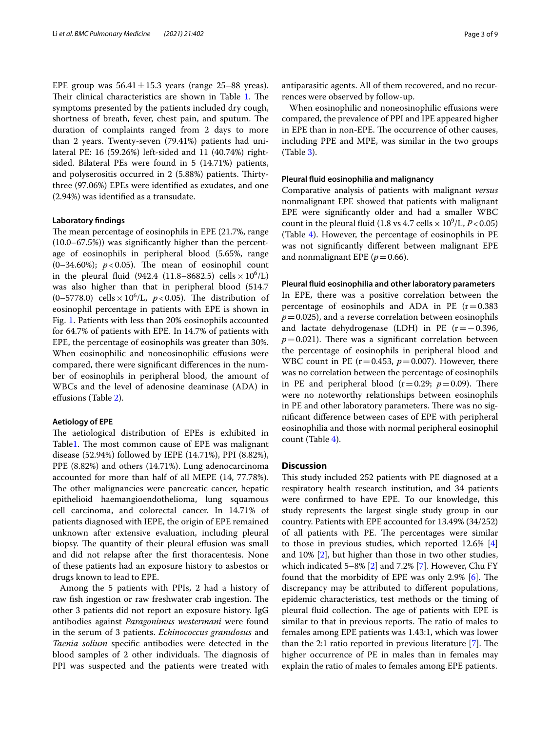EPE group was  $56.41 \pm 15.3$  years (range 25–88 yreas). Their clinical characteristics are shown in Table [1.](#page-3-0) The symptoms presented by the patients included dry cough, shortness of breath, fever, chest pain, and sputum. The duration of complaints ranged from 2 days to more than 2 years. Twenty-seven (79.41%) patients had unilateral PE: 16 (59.26%) left-sided and 11 (40.74%) rightsided. Bilateral PEs were found in 5 (14.71%) patients, and polyserositis occurred in 2 (5.88%) patients. Thirtythree (97.06%) EPEs were identifed as exudates, and one (2.94%) was identifed as a transudate.

# **Laboratory fndings**

The mean percentage of eosinophils in EPE (21.7%, range (10.0–67.5%)) was signifcantly higher than the percentage of eosinophils in peripheral blood (5.65%, range  $(0-34.60\%)$ ;  $p < 0.05$ ). The mean of eosinophil count in the pleural fluid  $(942.4 \text{ } (11.8-8682.5) \text{ cells} \times 10^6 \text{/L})$ was also higher than that in peripheral blood (514.7  $(0-5778.0)$  cells  $\times 10^{6}$ /L,  $p < 0.05$ ). The distribution of eosinophil percentage in patients with EPE is shown in Fig. [1](#page-5-0). Patients with less than 20% eosinophils accounted for 64.7% of patients with EPE. In 14.7% of patients with EPE, the percentage of eosinophils was greater than 30%. When eosinophilic and noneosinophilic effusions were compared, there were signifcant diferences in the number of eosinophils in peripheral blood, the amount of WBCs and the level of adenosine deaminase (ADA) in efusions (Table [2](#page-5-1)).

# **Aetiology of EPE**

The aetiological distribution of EPEs is exhibited in Table[1.](#page-3-0) The most common cause of EPE was malignant disease (52.94%) followed by IEPE (14.71%), PPI (8.82%), PPE (8.82%) and others (14.71%). Lung adenocarcinoma accounted for more than half of all MEPE (14, 77.78%). The other malignancies were pancreatic cancer, hepatic epithelioid haemangioendothelioma, lung squamous cell carcinoma, and colorectal cancer. In 14.71% of patients diagnosed with IEPE, the origin of EPE remained unknown after extensive evaluation, including pleural biopsy. The quantity of their pleural effusion was small and did not relapse after the frst thoracentesis. None of these patients had an exposure history to asbestos or drugs known to lead to EPE.

Among the 5 patients with PPIs, 2 had a history of raw fish ingestion or raw freshwater crab ingestion. The other 3 patients did not report an exposure history. IgG antibodies against *Paragonimus westermani* were found in the serum of 3 patients. *Echinococcus granulosus* and *Taenia solium* specifc antibodies were detected in the blood samples of 2 other individuals. The diagnosis of PPI was suspected and the patients were treated with antiparasitic agents. All of them recovered, and no recurrences were observed by follow-up.

When eosinophilic and noneosinophilic effusions were compared, the prevalence of PPI and IPE appeared higher in EPE than in non-EPE. The occurrence of other causes, including PPE and MPE, was similar in the two groups (Table [3\)](#page-6-0).

#### **Pleural fuid eosinophilia and malignancy**

Comparative analysis of patients with malignant *versus* nonmalignant EPE showed that patients with malignant EPE were signifcantly older and had a smaller WBC count in the pleural fluid (1.8 vs 4.7 cells  $\times 10^9$ /L,  $P < 0.05$ ) (Table [4\)](#page-6-1). However, the percentage of eosinophils in PE was not signifcantly diferent between malignant EPE and nonmalignant EPE ( $p=0.66$ ).

#### **Pleural fuid eosinophilia and other laboratory parameters**

In EPE, there was a positive correlation between the percentage of eosinophils and ADA in PE  $(r=0.383)$  $p=0.025$ ), and a reverse correlation between eosinophils and lactate dehydrogenase (LDH) in PE  $(r = -0.396,$  $p=0.021$ ). There was a significant correlation between the percentage of eosinophils in peripheral blood and WBC count in PE ( $r=0.453$ ,  $p=0.007$ ). However, there was no correlation between the percentage of eosinophils in PE and peripheral blood  $(r=0.29; p=0.09)$ . There were no noteworthy relationships between eosinophils in PE and other laboratory parameters. There was no signifcant diference between cases of EPE with peripheral eosinophilia and those with normal peripheral eosinophil count (Table [4](#page-6-1)).

### **Discussion**

This study included 252 patients with PE diagnosed at a respiratory health research institution, and 34 patients were confrmed to have EPE. To our knowledge, this study represents the largest single study group in our country. Patients with EPE accounted for 13.49% (34/252) of all patients with PE. The percentages were similar to those in previous studies, which reported 12.6% [\[4](#page-7-4)] and 10% [\[2\]](#page-7-1), but higher than those in two other studies, which indicated 5–8% [[2](#page-7-1)] and 7.2% [\[7](#page-7-6)]. However, Chu FY found that the morbidity of EPE was only  $2.9\%$  [\[6](#page-7-7)]. The discrepancy may be attributed to diferent populations, epidemic characteristics, test methods or the timing of pleural fluid collection. The age of patients with EPE is similar to that in previous reports. The ratio of males to females among EPE patients was 1.43:1, which was lower than the 2:1 ratio reported in previous literature  $[7]$  $[7]$ . The higher occurrence of PE in males than in females may explain the ratio of males to females among EPE patients.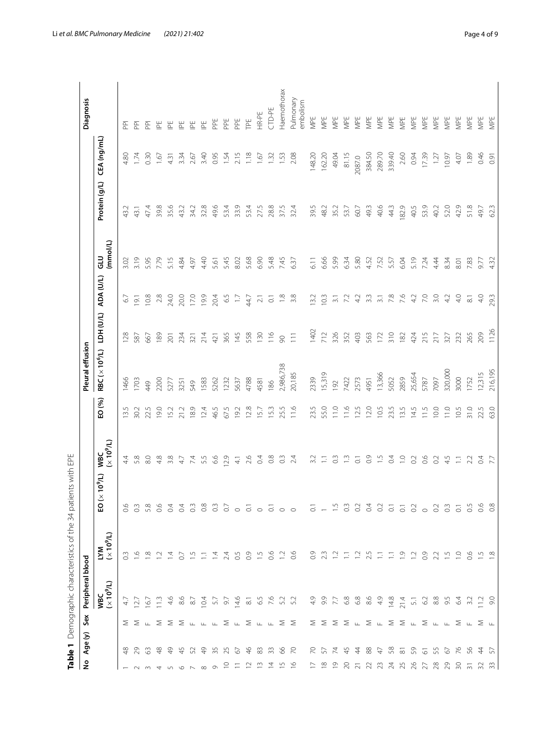| ٤                                                                               | Age (y)<br>Table 1      | Sex                                                                                                | Peripheral blood         | Demographic characteristics of the 34                                      | ents with EPE<br>pati                                            |                          |        | Pleural effusion           |                |                         |                       |               |             | Diagnosis                                     |
|---------------------------------------------------------------------------------|-------------------------|----------------------------------------------------------------------------------------------------|--------------------------|----------------------------------------------------------------------------|------------------------------------------------------------------|--------------------------|--------|----------------------------|----------------|-------------------------|-----------------------|---------------|-------------|-----------------------------------------------|
|                                                                                 |                         |                                                                                                    | $(10^9/L)$<br><b>VBC</b> | $\begin{array}{lll} \text{LYM} & \\ & (\times\ 10^9/\text{L}) \end{array}$ | $(7/60) \times$<br>요                                             | $(10^9/L)$<br><b>WBC</b> | EO (%) | RBC (× 10 <sup>6</sup> /L) | TDH (U/L)      | ADA (U/L)               | (mmol/L)<br>$\vec{a}$ | Protein (g/L) | CEA (ng/mL) |                                               |
|                                                                                 | $\frac{8}{5}$           |                                                                                                    | 47                       | 0.3                                                                        | o.<br>$\circ$                                                    | $4\overline{4}$          | 13.5   | 1466                       | 128            | 6.7                     | 3.02                  | 43.2          | 4.80        | 혼                                             |
| $\sim$                                                                          | 29                      | $\Sigma$ $\Sigma$ $\mu$ $\Sigma$                                                                   | 27                       | $\frac{6}{10}$                                                             | $\overline{0}$                                                   | 5.8                      | 30.2   | I703                       | 587            | 19.1                    | 3.19                  | 43.1          | 1.74        | 혼                                             |
| w470                                                                            | 63                      |                                                                                                    | $\overline{67}$          | $\frac{8}{10}$                                                             | 5.8                                                              | 8.0                      | 22.5   | 49                         | 667            | 10.8                    | 5.95                  | 47.4          | 0.30        | $\overline{P}$                                |
|                                                                                 | $\frac{8}{4}$           |                                                                                                    | $\frac{2}{11}$           | $\overline{1}$                                                             | 0.6                                                              | 4.8                      | 19.0   | 2200                       | 189            | 2.8                     | 7.79                  | 39.8          | 1.67        | $\mathbb{E}$                                  |
|                                                                                 | $\frac{1}{2}$           |                                                                                                    | 4.6                      | $\overline{4}$                                                             | $\overline{0}$                                                   | 3.8                      | 15.2   | 5277                       | 201            | 24.0                    | 5.15                  | 35.6          | 4.31        | 筐                                             |
|                                                                                 | 45                      |                                                                                                    | 8.6                      | $\overline{O}$                                                             | $\overline{0}$                                                   | 47                       | 21.2   | 3251                       | 234            | 20.0                    | 4.84                  | 43.2          | 3.34        | 匡                                             |
|                                                                                 | 52                      |                                                                                                    | 8.7                      | $\overline{5}$                                                             | $0.\overline{3}$                                                 | 74                       | 18.9   | 549                        | 321            | 17.0                    | 4.97                  | 34.2          | 2.67        | 일                                             |
| $\infty$                                                                        | $\frac{1}{6}$           | $\Sigma$ $\Sigma$ $\mu$ $\mu$ $\mu$ $\Sigma$ $\mu$ $\Sigma$ $\Sigma$ $\mu$ $\mu$ $\Sigma$ $\Sigma$ | 10.4                     | Ξ                                                                          | 0.8                                                              | 5.5                      | 12.4   | 1583                       | 214            | 19.9                    | 4.40                  | 32.8          | 3.40        | $\stackrel{\scriptscriptstyle \leftarrow}{=}$ |
| $\circ$                                                                         | 35                      |                                                                                                    |                          | $\overline{4}$                                                             | $0.\overline{3}$                                                 | 6.6                      | 46.5   | 5262                       | 421            | 20.4                    | 5.61                  | 49.6          | 0.95        | PPE                                           |
| $\supseteq$                                                                     | 25                      |                                                                                                    | 5.7                      | 2.4                                                                        |                                                                  | 12.9                     | 67.5   | 1232                       | 365            | 65                      | 5.45                  | 53.4          | 1.54        | PPE                                           |
| $\equiv$                                                                        | 6                       |                                                                                                    | $\frac{6}{4}$            | 0.5                                                                        |                                                                  | $\frac{4}{1}$            | 19.2   | 5637                       | 145            | $\Box$                  | 8.02                  | 33.9          | 2.15        | PPE                                           |
| $\approx$                                                                       | $\frac{4}{6}$           |                                                                                                    | $\overline{\infty}$      | 0.9                                                                        |                                                                  | 2.6                      | 12.8   | 4788                       | 558            | 44.7                    | 5.68                  | 53.4          | 1.18        | TPE                                           |
|                                                                                 | 83                      |                                                                                                    |                          | $-5$ 0.6                                                                   |                                                                  | 0.4                      | 15.7   | 4581                       | 130            | $\overline{21}$         | 6.90                  | 27.5          | 1.67        | HR-PE                                         |
| $\begin{array}{c} 0.75 & \text{if } 0.75 \\ 0.75 & \text{if } 0.75 \end{array}$ | 33                      |                                                                                                    | 5.76                     |                                                                            | $\ddot{\circ} \circ \ddot{\circ} \circ \ddot{\circ} \circ \circ$ | $\frac{8}{2}$            | 15.3   | 186                        | $\frac{6}{11}$ | $\overline{\circ}$      | 5.48                  | 28.8          | 1.32        | CTD-PE                                        |
|                                                                                 | 66                      |                                                                                                    |                          | $\overline{1}$                                                             |                                                                  | $\approx$                | 25.5   | 2,986,738                  | $\infty$       | $\frac{8}{10}$          | 7.45                  | 37.5          | 1.53        | Haemothorax                                   |
|                                                                                 | $\overline{70}$         |                                                                                                    | 52                       | 0.6                                                                        |                                                                  | 2.4                      | 11.6   | 20,185                     | $\Xi$          | 3.8                     | 6.37                  | 32.4          | 2.08        | Pulmonary<br>embolism                         |
|                                                                                 | $\overline{C}$          |                                                                                                    | $\frac{1}{4}$            | 0.9                                                                        |                                                                  | 3.2                      | 23.5   | 2339                       | 1402           | 13.2                    | $\overline{6}$ .      | 39.5          | 148.20      | MPE                                           |
|                                                                                 | 57                      |                                                                                                    | 9.9                      | 23                                                                         | $\overline{6}$ - $\overline{1}$                                  | Ξ                        | 55.0   | 15,319                     | 712            | 10.3                    | 6.66                  | 48.2          | 162.20      | MPE                                           |
|                                                                                 | $\overline{7}$          |                                                                                                    | 7.7                      | $\Xi$                                                                      |                                                                  | $\frac{3}{2}$            | 11.0   | 192                        | 326            | $\overline{3}$ l        | 5.99                  | 35.2          | 49.04       | MPE                                           |
|                                                                                 | 45                      |                                                                                                    | $6.8$                    | $\Xi$                                                                      | $_{\odot}$                                                       | $\frac{1}{2}$            | 11.6   | 7422                       | 352            | 72                      | 6.34                  | 53.7          | 81.15       | MPE                                           |
|                                                                                 | $\frac{4}{4}$           |                                                                                                    | 6800                     |                                                                            | $\overline{0}$                                                   | $\overline{\circ}$       | 12.5   | 2573                       | 403            | 4.2                     | 5.80                  | 60.7          | 2087.0      | MPE                                           |
|                                                                                 | 88                      |                                                                                                    |                          | $1.2 \,$ $2.5$                                                             |                                                                  | $\overline{0}$ .         | 12.0   | 4951                       | 563            | 3.3                     | 4.52                  | 49.3          | 384.50      | MPE                                           |
|                                                                                 | $\ddot{+}$              |                                                                                                    | 4.9                      | Ξ                                                                          |                                                                  | $\frac{5}{1}$            | 10.5   | 13,366                     | 172            | $\overline{3}$ .        | 7.52                  | 40.6          | 289.70      | MPE                                           |
|                                                                                 | 58                      |                                                                                                    | 14.8                     | Ξ                                                                          |                                                                  | 0.4                      | 23.5   | 5052                       | 310            | 7.8                     | 5.57                  | 44.3          | 339.40      | MPE                                           |
|                                                                                 | $\overline{\infty}$     |                                                                                                    | 21.4                     | $\frac{1}{2}$                                                              |                                                                  | $\overline{C}$           | 13.5   | 2859                       | 182            | 7.6                     | 6.04                  | 182.9         | 2.60        | MPE                                           |
|                                                                                 |                         |                                                                                                    | $\overline{5}$           | $\overline{12}$                                                            |                                                                  | O.2                      | 14.5   | 25,654                     | 424            | 4.2                     | 5.19                  | 40.5          | 0.94        | MPE                                           |
| 12 12 22 23 24 25 26 26 26 26 26 26 26 27                                       |                         | ΣΣΣΣμΣμΣΣμΣμμΣμΣμ                                                                                  | 6.2                      | $\overline{0}$ .                                                           | 3355302                                                          | 66                       | 11.5   | 5787                       | 215            | 7.0                     | 7.24                  | 53.9          | 17.39       | MPE                                           |
|                                                                                 |                         |                                                                                                    | $\frac{8}{8}$            | $2.3 \div 5$                                                               |                                                                  | O <sup>2</sup>           | 10.0   | 7097                       | 217            | 3.0                     | 4.44                  | 40.2          | 1.27        | MPE                                           |
|                                                                                 | S 76                    |                                                                                                    | 9.5                      |                                                                            | $0.\overline{3}$                                                 | 4.5                      | 11.0   | 320,000                    | 327            | 4.2                     | 8.34                  | 52.0          | 10.97       | NPE                                           |
|                                                                                 |                         |                                                                                                    | 6.4<br>3.2               | $\frac{1}{2}$                                                              | $\overline{C}$                                                   | $\Xi$                    | 10.5   | 3000                       | 232            | 4.0                     | 8.01                  | 42.9          | 4.07        | MPE                                           |
|                                                                                 | 95                      |                                                                                                    |                          | 0.6                                                                        | 0.5                                                              | 2.2                      | 31.0   | 1752                       | 265            | $\overline{\text{8}}$ l | 7.83                  | 51.8          | 1.89        | MPE                                           |
|                                                                                 | $\frac{4}{4}$ $\approx$ |                                                                                                    | $1.2$<br>9.0             | $\frac{15}{10}$ 20                                                         | $rac{6}{0}$ $rac{8}{0}$                                          | 0.4                      | 22.5   | 12,315                     | 209            | 4.0                     | 9.77                  | 49.7          | 0.46        | MPE                                           |
|                                                                                 |                         |                                                                                                    |                          |                                                                            |                                                                  | 7.7                      | 63.0   | 216,195                    | 1126           | 29.3                    | 4.32                  | 62.3          | 0.91        | MPE                                           |

<span id="page-3-0"></span>Table 1 Demographic characteristics of the 34 patients with EPE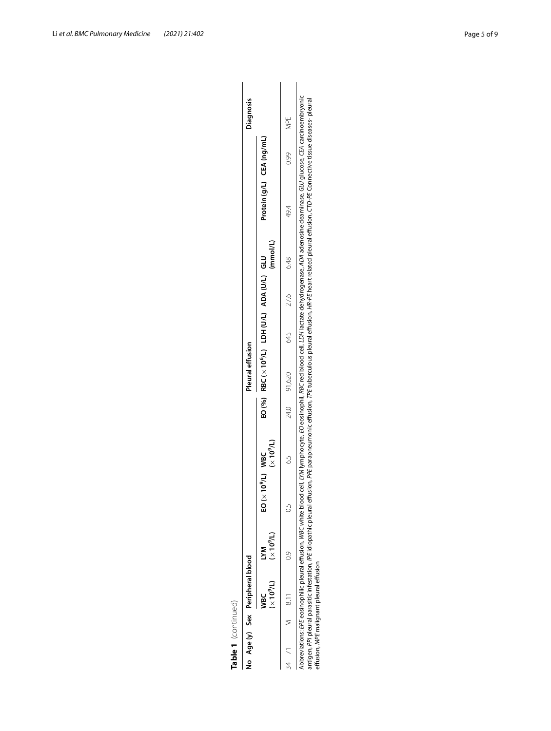|  | No Age (y) Sex Peripheral blood          |                                    |                             |            | Pleural effusion                                    |     |      |          |                                                                                                                                                                                                                                                                                                                                                                                                                                           |      | Diagnosis |
|--|------------------------------------------|------------------------------------|-----------------------------|------------|-----------------------------------------------------|-----|------|----------|-------------------------------------------------------------------------------------------------------------------------------------------------------------------------------------------------------------------------------------------------------------------------------------------------------------------------------------------------------------------------------------------------------------------------------------------|------|-----------|
|  | ec<br>≷                                  | $(X 0^9/L)$ $(X 0^9/L)$<br>УM<br>Д | EO(x10 <sup>9</sup> /L) WBC | $(10^9/L)$ | $EO(%)$ RBC $(x 106/L)$ LDH $(U/L)$ ADA $(U/L)$ GLU |     |      | (mmol/L) | Protein (g/L) CEA (ng/mL)                                                                                                                                                                                                                                                                                                                                                                                                                 |      |           |
|  | 34 71 M 8.11                             | $\frac{1}{2}$                      |                             | ς<br>Κ     | 24.0 91,620                                         | 645 | 27.6 | 6.48     | 49.4                                                                                                                                                                                                                                                                                                                                                                                                                                      | 0.99 | NPE<br>S  |
|  | effusion, MPE malignant pleural effusion |                                    |                             |            |                                                     |     |      |          | bbreviations: EPE eosinophilic pleural effusion, WBC white blood cell, LYM lymphocyte, EO eosinophil, RBC red blood cell, LDH lactate dehydrogenase, ADA adenosine deaminase, GLU glucose, CEA carcinoembryonic<br>ntigen, PPI pleural parasitic infestation, IPE idiopathic pleural effusion, PE paramentic effusion, TPE tuberculous pleural effusion, IR-PE heart related pleural effusion, CTD-PE Connective tissue diseases- pleural |      |           |

Abbreviations: EPE eosinophilic pleural effusion, WBC white blood cell, LYM lymphocyte, EO eosinophil, RBC red blood cell, LDH lactate dehydrogenase, ADA adenosine deaminase, GLU glucose, CEA carcinoembryonic<br>antigen, PPI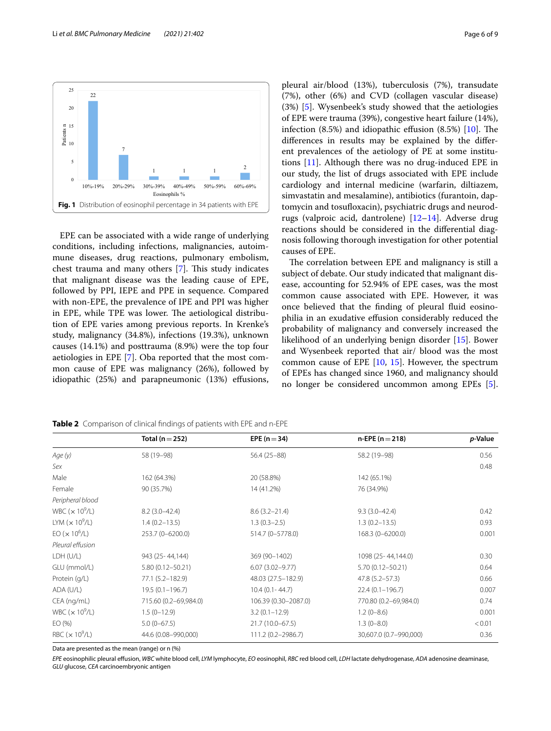

<span id="page-5-0"></span>EPE can be associated with a wide range of underlying conditions, including infections, malignancies, autoimmune diseases, drug reactions, pulmonary embolism, chest trauma and many others [[7\]](#page-7-6). This study indicates that malignant disease was the leading cause of EPE, followed by PPI, IEPE and PPE in sequence. Compared with non-EPE, the prevalence of IPE and PPI was higher in EPE, while TPE was lower. The aetiological distribution of EPE varies among previous reports. In Krenke's study, malignancy (34.8%), infections (19.3%), unknown causes (14.1%) and posttrauma (8.9%) were the top four aetiologies in EPE [\[7](#page-7-6)]. Oba reported that the most common cause of EPE was malignancy (26%), followed by idiopathic  $(25%)$  and parapneumonic  $(13%)$  effusions, pleural air/blood (13%), tuberculosis (7%), transudate (7%), other (6%) and CVD (collagen vascular disease) (3%) [\[5](#page-7-3)]. Wysenbeek's study showed that the aetiologies of EPE were trauma (39%), congestive heart failure (14%), infection  $(8.5\%)$  and idiopathic effusion  $(8.5\%)$  [[10](#page-7-8)]. The diferences in results may be explained by the diferent prevalences of the aetiology of PE at some institutions [[11\]](#page-7-9). Although there was no drug-induced EPE in our study, the list of drugs associated with EPE include cardiology and internal medicine (warfarin, diltiazem, simvastatin and mesalamine), antibiotics (furantoin, daptomycin and tosufoxacin), psychiatric drugs and neurodrugs (valproic acid, dantrolene) [\[12](#page-7-10)–[14\]](#page-8-0). Adverse drug reactions should be considered in the diferential diagnosis following thorough investigation for other potential causes of EPE.

The correlation between EPE and malignancy is still a subject of debate. Our study indicated that malignant disease, accounting for 52.94% of EPE cases, was the most common cause associated with EPE. However, it was once believed that the fnding of pleural fuid eosinophilia in an exudative efusion considerably reduced the probability of malignancy and conversely increased the likelihood of an underlying benign disorder [[15](#page-8-1)]. Bower and Wysenbeek reported that air/ blood was the most common cause of EPE [\[10](#page-7-8), [15\]](#page-8-1). However, the spectrum of EPEs has changed since 1960, and malignancy should no longer be considered uncommon among EPEs [\[5](#page-7-3)].

|                           | Total ( $n = 252$ )   | EPE ( $n = 34$ )     | $n$ -EPE ( $n = 218$ ) | p-Value |
|---------------------------|-----------------------|----------------------|------------------------|---------|
| Age (y)                   | 58 (19 - 98)          | 56.4 (25-88)         | 58.2 (19-98)           | 0.56    |
| Sex                       |                       |                      |                        | 0.48    |
| Male                      | 162 (64.3%)           | 20 (58.8%)           | 142 (65.1%)            |         |
| Female                    | 90 (35.7%)            | 14 (41.2%)           | 76 (34.9%)             |         |
| Peripheral blood          |                       |                      |                        |         |
| WBC $(x 10^9/L)$          | $8.2(3.0-42.4)$       | $8.6(3.2 - 21.4)$    | $9.3(3.0-42.4)$        | 0.42    |
| LYM $(x 10^9/L)$          | $1.4(0.2 - 13.5)$     | $1.3(0.3-2.5)$       | $1.3(0.2 - 13.5)$      | 0.93    |
| EO (x 10 <sup>6</sup> /L) | 253.7 (0-6200.0)      | 514.7 (0-5778.0)     | 168.3 (0-6200.0)       | 0.001   |
| Pleural effusion          |                       |                      |                        |         |
| LDH (U/L)                 | 943 (25-44,144)       | 369 (90-1402)        | 1098 (25-44,144.0)     | 0.30    |
| GLU (mmol/L)              | $5.80(0.12 - 50.21)$  | $6.07(3.02 - 9.77)$  | 5.70 (0.12-50.21)      | 0.64    |
| Protein (g/L)             | 77.1 (5.2-182.9)      | 48.03 (27.5-182.9)   | 47.8 (5.2–57.3)        | 0.66    |
| ADA (U/L)                 | $19.5(0.1 - 196.7)$   | $10.4(0.1 - 44.7)$   | $22.4(0.1 - 196.7)$    | 0.007   |
| CEA (ng/mL)               | 715.60 (0.2-69,984.0) | 106.39 (0.30-2087.0) | 770.80 (0.2-69,984.0)  | 0.74    |
| WBC $(x 10^9/L)$          | $1.5(0-12.9)$         | $3.2(0.1 - 12.9)$    | $1.2(0-8.6)$           | 0.001   |
| EO(% )                    | $5.0(0-67.5)$         | $21.7(10.0 - 67.5)$  | $1.3(0 - 8.0)$         | < 0.01  |
| RBC $(x 10^9/L)$          | 44.6 (0.08-990,000)   | 111.2 (0.2-2986.7)   | 30,607.0 (0.7-990,000) | 0.36    |

<span id="page-5-1"></span>**Table 2** Comparison of clinical fndings of patients with EPE and n-EPE

Data are presented as the mean (range) or n (%)

*EPE* eosinophilic pleural efusion, *WBC* white blood cell, *LYM* lymphocyte, *EO* eosinophil, *RBC* red blood cell, *LDH* lactate dehydrogenase, *ADA* adenosine deaminase, *GLU* glucose, *CEA* carcinoembryonic antigen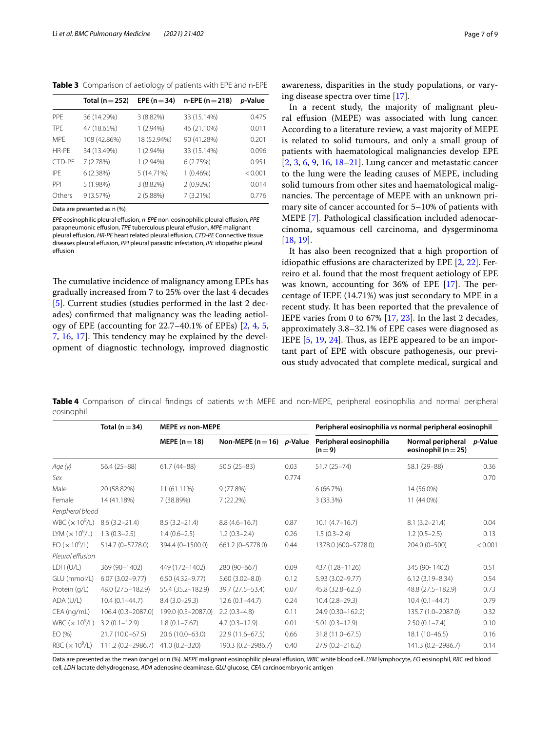<span id="page-6-0"></span>**Table 3** Comparison of aetiology of patients with EPE and n-EPE

|            | Total ( $n = 252$ ) | EPE ( $n = 34$ ) | $n$ -EPE ( $n = 218$ ) | <i>p</i> -Value |
|------------|---------------------|------------------|------------------------|-----------------|
| <b>PPE</b> | 36 (14.29%)         | 3(8.82%)         | 33 (15.14%)            | 0.475           |
| <b>TPF</b> | 47 (18.65%)         | $1(2.94\%)$      | 46 (21.10%)            | 0.011           |
| <b>MPF</b> | 108 (42.86%)        | 18 (52.94%)      | 90 (41.28%)            | 0.201           |
| HR-PF      | 34 (13.49%)         | $1(2.94\%)$      | 33 (15.14%)            | 0.096           |
| CTD-PE     | 7 (2.78%)           | $1(2.94\%)$      | 6(2.75%)               | 0.951           |
| IPF        | 6(2.38%)            | 5 (14.71%)       | $1(0.46\%)$            | < 0.001         |
| PPI        | 5 (1.98%)           | 3 (8.82%)        | $2(0.92\%)$            | 0.014           |
| Others     | 9(3.57%)            | 2 (5.88%)        | 7 (3.21%)              | 0.776           |

Data are presented as n (%)

*EPE* eosinophilic pleural efusion, *n*-*EPE* non-eosinophilic pleural efusion, *PPE* parapneumonic efusion, *TPE* tuberculous pleural efusion, *MPE* malignant pleural efusion, *HR-PE* heart related pleural efusion, *CTD-PE* Connective tissue diseases pleural efusion, *PPI* pleural parasitic infestation, *IPE* idiopathic pleural effusion

The cumulative incidence of malignancy among EPEs has gradually increased from 7 to 25% over the last 4 decades [[5\]](#page-7-3). Current studies (studies performed in the last 2 decades) confrmed that malignancy was the leading aetiology of EPE (accounting for 22.7–40.1% of EPEs) [[2,](#page-7-1) [4](#page-7-4), [5](#page-7-3), [7,](#page-7-6) [16,](#page-8-2) [17\]](#page-8-3). This tendency may be explained by the development of diagnostic technology, improved diagnostic awareness, disparities in the study populations, or varying disease spectra over time [[17\]](#page-8-3).

In a recent study, the majority of malignant pleural efusion (MEPE) was associated with lung cancer. According to a literature review, a vast majority of MEPE is related to solid tumours, and only a small group of patients with haematological malignancies develop EPE [[2,](#page-7-1) [3,](#page-7-2) [6](#page-7-7), [9](#page-7-5), [16,](#page-8-2) [18–](#page-8-4)[21](#page-8-5)]. Lung cancer and metastatic cancer to the lung were the leading causes of MEPE, including solid tumours from other sites and haematological malignancies. The percentage of MEPE with an unknown primary site of cancer accounted for 5–10% of patients with MEPE [[7\]](#page-7-6). Pathological classifcation included adenocarcinoma, squamous cell carcinoma, and dysgerminoma [[18,](#page-8-4) [19](#page-8-6)].

It has also been recognized that a high proportion of idiopathic effusions are characterized by EPE [[2,](#page-7-1) [22](#page-8-7)]. Ferreiro et al. found that the most frequent aetiology of EPE was known, accounting for  $36\%$  of EPE [\[17](#page-8-3)]. The percentage of IEPE (14.71%) was just secondary to MPE in a recent study. It has been reported that the prevalence of IEPE varies from 0 to 67% [[17](#page-8-3), [23](#page-8-8)]. In the last 2 decades, approximately 3.8–32.1% of EPE cases were diagnosed as IEPE  $[5, 19, 24]$  $[5, 19, 24]$  $[5, 19, 24]$  $[5, 19, 24]$  $[5, 19, 24]$  $[5, 19, 24]$ . Thus, as IEPE appeared to be an important part of EPE with obscure pathogenesis, our previous study advocated that complete medical, surgical and

<span id="page-6-1"></span>**Table 4** Comparison of clinical fndings of patients with MEPE and non-MEPE, peripheral eosinophilia and normal peripheral eosinophil

|                                    | Total ( $n = 34$ )  | <b>MEPE vs non-MEPE</b> |                               |       | Peripheral eosinophilia vs normal peripheral eosinophil |                                              |         |
|------------------------------------|---------------------|-------------------------|-------------------------------|-------|---------------------------------------------------------|----------------------------------------------|---------|
|                                    |                     | MEPE ( $n = 18$ )       | Non-MEPE ( $n = 16$ ) p-Value |       | Peripheral eosinophilia<br>$(n=9)$                      | Normal peripheral<br>eosinophil ( $n = 25$ ) | p-Value |
| Age (y)                            | 56.4 (25-88)        | $61.7(44 - 88)$         | $50.5(25-83)$                 | 0.03  | $51.7(25 - 74)$                                         | 58.1 (29-88)                                 | 0.36    |
| Sex                                |                     |                         |                               | 0.774 |                                                         |                                              | 0.70    |
| Male                               | 20 (58.82%)         | 11 (61.11%)             | 9(77.8%)                      |       | 6(66.7%)                                                | 14 (56.0%)                                   |         |
| Female                             | 14 (41.18%)         | 7 (38.89%)              | $7(22.2\%)$                   |       | 3 (33.3%)                                               | 11 (44.0%)                                   |         |
| Peripheral blood                   |                     |                         |                               |       |                                                         |                                              |         |
| WBC ( $\times$ 10 <sup>9</sup> /L) | $8.6(3.2 - 21.4)$   | $8.5(3.2 - 21.4)$       | $8.8(4.6 - 16.7)$             | 0.87  | $10.1 (4.7 - 16.7)$                                     | $8.1(3.2 - 21.4)$                            | 0.04    |
| LYM $(x 10^9/L)$                   | $1.3(0.3-2.5)$      | $1.4(0.6-2.5)$          | $1.2(0.3-2.4)$                | 0.26  | $1.5(0.3-2.4)$                                          | $1.2(0.5-2.5)$                               | 0.13    |
| EO (x 10 <sup>6</sup> /L)          | 514.7 (0-5778.0)    | 394.4 (0-1500.0)        | 661.2 (0-5778.0)              | 0.44  | 1378.0 (600-5778.0)                                     | 204.0 (0-500)                                | < 0.001 |
| Pleural effusion                   |                     |                         |                               |       |                                                         |                                              |         |
| LDH (U/L)                          | 369 (90-1402)       | 449 (172-1402)          | 280 (90-667)                  | 0.09  | 437 (128-1126)                                          | 345 (90-1402)                                | 0.51    |
| GLU (mmol/L)                       | $6.07(3.02 - 9.77)$ | $6.50(4.32 - 9.77)$     | $5.60(3.02 - 8.0)$            | 0.12  | 5.93 (3.02-9.77)                                        | $6.12(3.19 - 8.34)$                          | 0.54    |
| Protein (g/L)                      | 48.0 (27.5-182.9)   | 55.4 (35.2-182.9)       | 39.7 (27.5-53.4)              | 0.07  | 45.8 (32.8-62.3)                                        | 48.8 (27.5-182.9)                            | 0.73    |
| ADA (U/L)                          | $10.4(0.1 - 44.7)$  | $8.4(3.0-29.3)$         | $12.6(0.1 - 44.7)$            | 0.24  | $10.4(2.8-29.3)$                                        | $10.4(0.1 - 44.7)$                           | 0.79    |
| CEA (ng/mL)                        | 106.4 (0.3-2087.0)  | 199.0 (0.5-2087.0)      | $2.2(0.3-4.8)$                | 0.11  | 24.9 (0.30-162.2)                                       | 135.7 (1.0-2087.0)                           | 0.32    |
| WBC $(x 10^9/L)$                   | $3.2(0.1 - 12.9)$   | $1.8(0.1 - 7.67)$       | $4.7(0.3 - 12.9)$             | 0.01  | $5.01(0.3 - 12.9)$                                      | $2.50(0.1 - 7.4)$                            | 0.10    |
| EO(%)                              | 21.7 (10.0-67.5)    | 20.6 (10.0-63.0)        | 22.9 (11.6-67.5)              | 0.66  | 31.8 (11.0-67.5)                                        | 18.1 (10-46.5)                               | 0.16    |
| RBC ( $\times$ 10 <sup>9</sup> /L) | 111.2 (0.2-2986.7)  | $41.0(0.2 - 320)$       | 190.3 (0.2-2986.7)            | 0.40  | 27.9 (0.2-216.2)                                        | 141.3 (0.2-2986.7)                           | 0.14    |

Data are presented as the mean (range) or n (%). *MEPE* malignant eosinophilic pleural efusion, *WBC* white blood cell, *LYM* lymphocyte, *EO* eosinophil, *RBC* red blood cell, *LDH* lactate dehydrogenase, *ADA* adenosine deaminase, *GLU* glucose, *CEA* carcinoembryonic antigen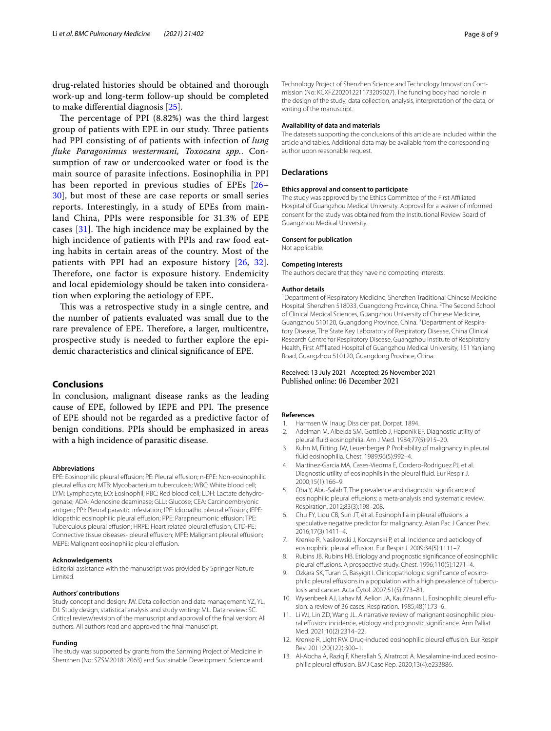drug-related histories should be obtained and thorough work-up and long-term follow-up should be completed to make diferential diagnosis [\[25\]](#page-8-10).

The percentage of PPI  $(8.82%)$  was the third largest group of patients with EPE in our study. Three patients had PPI consisting of of patients with infection of *lung fuke Paragonimus westermani, Toxocara spp.*. Consumption of raw or undercooked water or food is the main source of parasite infections. Eosinophilia in PPI has been reported in previous studies of EPEs [[26–](#page-8-11) [30\]](#page-8-12), but most of these are case reports or small series reports. Interestingly, in a study of EPEs from mainland China, PPIs were responsible for 31.3% of EPE cases  $[31]$  $[31]$  $[31]$ . The high incidence may be explained by the high incidence of patients with PPIs and raw food eating habits in certain areas of the country. Most of the patients with PPI had an exposure history [\[26](#page-8-11), [32\]](#page-8-14). Therefore, one factor is exposure history. Endemicity and local epidemiology should be taken into consideration when exploring the aetiology of EPE.

This was a retrospective study in a single centre, and the number of patients evaluated was small due to the rare prevalence of EPE. Therefore, a larger, multicentre, prospective study is needed to further explore the epidemic characteristics and clinical signifcance of EPE.

# **Conclusions**

In conclusion, malignant disease ranks as the leading cause of EPE, followed by IEPE and PPI. The presence of EPE should not be regarded as a predictive factor of benign conditions. PPIs should be emphasized in areas with a high incidence of parasitic disease.

#### **Abbreviations**

EPE: Eosinophilic pleural effusion; PE: Pleural effusion; n-EPE: Non-eosinophilic pleural efusion; MTB: Mycobacterium tuberculosis; WBC: White blood cell; LYM: Lymphocyte; EO: Eosinophil; RBC: Red blood cell; LDH: Lactate dehydrogenase; ADA: Adenosine deaminase; GLU: Glucose; CEA: Carcinoembryonic antigen; PPI: Pleural parasitic infestation; IPE: Idiopathic pleural effusion; IEPE: Idiopathic eosinophilic pleural effusion; PPE: Parapneumonic effusion; TPE: Tuberculous pleural effusion: HRPE: Heart related pleural effusion: CTD-PE: Connective tissue diseases- pleural effusion; MPE: Malignant pleural effusion; MEPE: Malignant eosinophilic pleural effusion.

#### **Acknowledgements**

Editorial assistance with the manuscript was provided by Springer Nature Limited.

#### **Authors' contributions**

Study concept and design: JW. Data collection and data management: YZ, YL, DJ. Study design, statistical analysis and study writing: ML. Data review: SC. Critical review/revision of the manuscript and approval of the fnal version: All authors. All authors read and approved the fnal manuscript.

#### **Funding**

The study was supported by grants from the Sanming Project of Medicine in Shenzhen (No: SZSM201812063) and Sustainable Development Science and

Technology Project of Shenzhen Science and Technology Innovation Commission (No: KCXFZ20201221173209027). The funding body had no role in the design of the study, data collection, analysis, interpretation of the data, or writing of the manuscript.

#### **Availability of data and materials**

The datasets supporting the conclusions of this article are included within the article and tables. Additional data may be available from the corresponding author upon reasonable request.

#### **Declarations**

#### **Ethics approval and consent to participate**

The study was approved by the Ethics Committee of the First Afliated Hospital of Guangzhou Medical University. Approval for a waiver of informed consent for the study was obtained from the Institutional Review Board of Guangzhou Medical University.

#### **Consent for publication**

Not applicable.

#### **Competing interests**

The authors declare that they have no competing interests.

#### **Author details**

<sup>1</sup> Department of Respiratory Medicine, Shenzhen Traditional Chinese Medicine Hospital, Shenzhen 518033, Guangdong Province, China. <sup>2</sup>The Second School of Clinical Medical Sciences, Guangzhou University of Chinese Medicine, Guangzhou 510120, Guangdong Province, China. <sup>3</sup> Department of Respiratory Disease, The State Key Laboratory of Respiratory Disease, China Clinical Research Centre for Respiratory Disease, Guangzhou Institute of Respiratory Health, First Afliated Hospital of Guangzhou Medical University, 151 Yanjiang Road, Guangzhou 510120, Guangdong Province, China.

# Received: 13 July 2021 Accepted: 26 November 2021 Published online: 06 December 2021

#### **References**

- <span id="page-7-0"></span>Harmsen W. Inaug Diss der pat. Dorpat. 1894.
- <span id="page-7-1"></span>2. Adelman M, Albelda SM, Gottlieb J, Haponik EF. Diagnostic utility of pleural fuid eosinophilia. Am J Med. 1984;77(5):915–20.
- <span id="page-7-2"></span>3. Kuhn M, Fitting JW, Leuenberger P. Probability of malignancy in pleural fuid eosinophilia. Chest. 1989;96(5):992–4.
- <span id="page-7-4"></span>4. Martinez-Garcia MA, Cases-Viedma E, Cordero-Rodriguez PJ, et al. Diagnostic utility of eosinophils in the pleural fuid. Eur Respir J. 2000;15(1):166–9.
- <span id="page-7-3"></span>5. Oba Y, Abu-Salah T. The prevalence and diagnostic signifcance of eosinophilic pleural effusions: a meta-analysis and systematic review. Respiration. 2012;83(3):198–208.
- <span id="page-7-7"></span>6. Chu FY, Liou CB, Sun JT, et al. Eosinophilia in pleural efusions: a speculative negative predictor for malignancy. Asian Pac J Cancer Prev. 2016;17(3):1411–4.
- <span id="page-7-6"></span>7. Krenke R, Nasilowski J, Korczynski P, et al. Incidence and aetiology of eosinophilic pleural effusion. Eur Respir J. 2009;34(5):1111-7.
- 8. Rubins JB, Rubins HB. Etiology and prognostic signifcance of eosinophilic pleural effusions. A prospective study. Chest. 1996;110(5):1271-4.
- <span id="page-7-5"></span>9. Ozkara SK, Turan G, Basyigit I. Clinicopathologic signifcance of eosinophilic pleural effusions in a population with a high prevalence of tuberculosis and cancer. Acta Cytol. 2007;51(5):773–81.
- <span id="page-7-8"></span>10. Wysenbeek AJ, Lahav M, Aelion JA, Kaufmann L. Eosinophilic pleural efusion: a review of 36 cases. Respiration. 1985;48(1):73–6.
- <span id="page-7-9"></span>11. Li WJ, Lin ZD, Wang JL. A narrative review of malignant eosinophilic pleural effusion: incidence, etiology and prognostic significance. Ann Palliat Med. 2021;10(2):2314–22.
- <span id="page-7-10"></span>12. Krenke R, Light RW. Drug-induced eosinophilic pleural effusion. Eur Respir Rev. 2011;20(122):300–1.
- 13. Al-Abcha A, Raziq F, Kherallah S, Alratroot A. Mesalamine-induced eosinophilic pleural effusion. BMJ Case Rep. 2020;13(4):e233886.